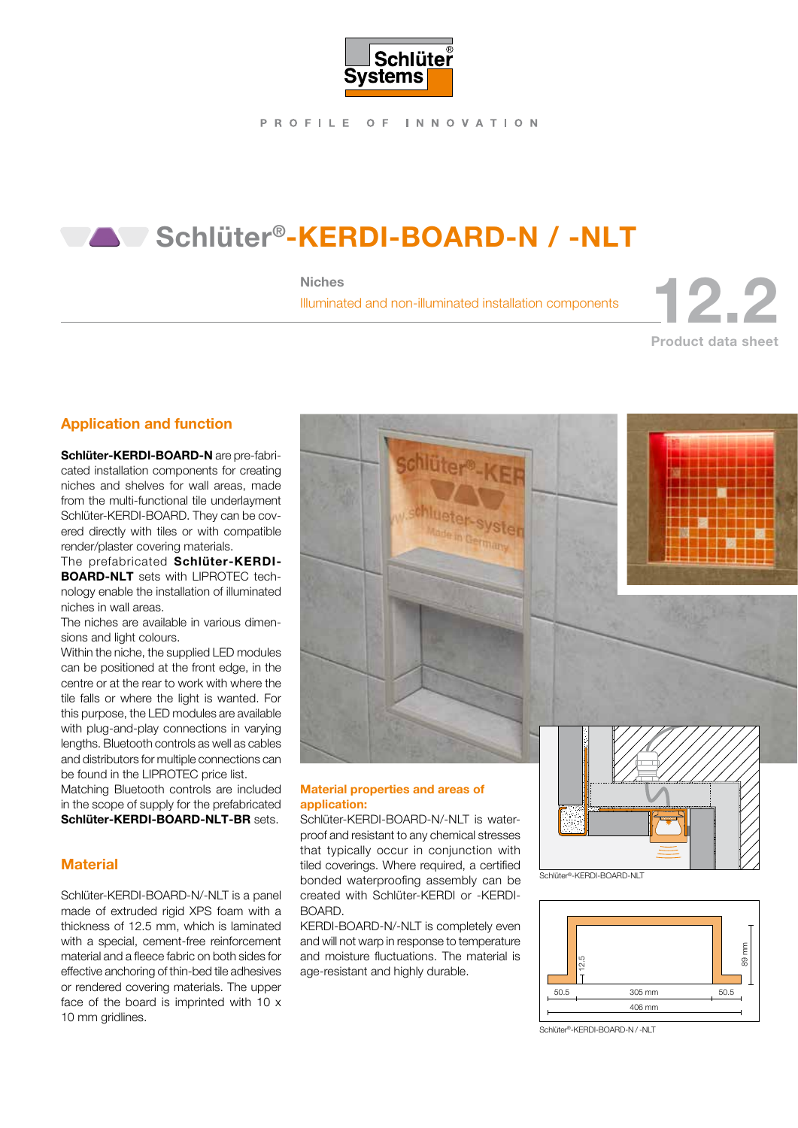

PROFILE OF INNOVATION

## Schlüter®-KERDI-BOARD-N / -NLT

#### Niches

# Niches<br>Illuminated and non-illuminated installation components Product data sheet

#### Application and function

Schlüter-KERDI-BOARD-N are pre-fabricated installation components for creating niches and shelves for wall areas, made from the multi-functional tile underlayment Schlüter-KERDI-BOARD. They can be covered directly with tiles or with compatible render/plaster covering materials.

The prefabricated Schlüter-KERDI-BOARD-NLT sets with LIPROTEC technology enable the installation of illuminated niches in wall areas.

The niches are available in various dimensions and light colours.

Within the niche, the supplied LED modules can be positioned at the front edge, in the centre or at the rear to work with where the tile falls or where the light is wanted. For this purpose, the LED modules are available with plug-and-play connections in varying lengths. Bluetooth controls as well as cables and distributors for multiple connections can be found in the LIPROTEC price list.

Matching Bluetooth controls are included in the scope of supply for the prefabricated Schlüter-KERDI-BOARD-NLT-BR sets.

#### **Material**

Schlüter-KERDI-BOARD-N/-NLT is a panel made of extruded rigid XPS foam with a thickness of 12.5 mm, which is laminated with a special, cement-free reinforcement material and a fleece fabric on both sides for effective anchoring of thin-bed tile adhesives or rendered covering materials. The upper face of the board is imprinted with 10 x 10 mm gridlines.



#### Material properties and areas of application:

Schlüter-KERDI-BOARD-N/-NLT is waterproof and resistant to any chemical stresses that typically occur in conjunction with tiled coverings. Where required, a certified bonded waterproofing assembly can be created with Schlüter-KERDI or -KERDI-BOARD.

KERDI-BOARD-N/-NLT is completely even and will not warp in response to temperature and moisture fluctuations. The material is age-resistant and highly durable.







Schlüter®-KERDI-BOARD-N / -NLT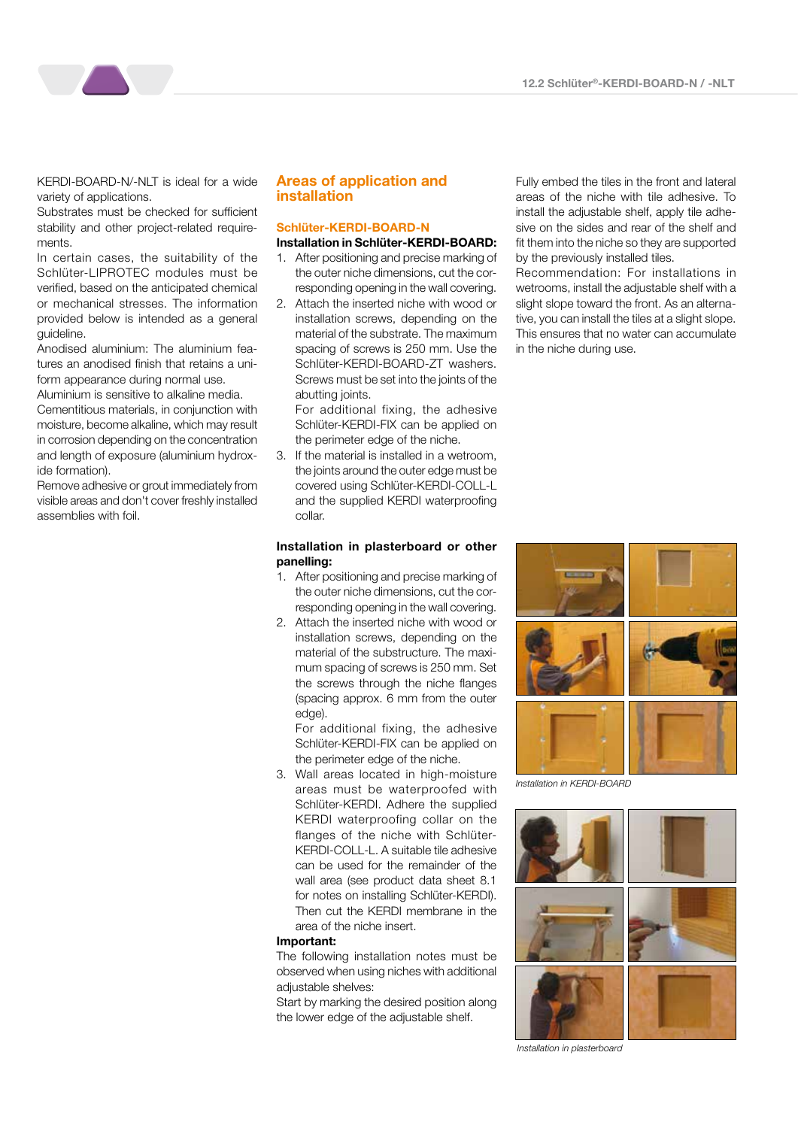KERDI-BOARD-N/-NLT is ideal for a wide variety of applications.

Substrates must be checked for sufficient stability and other project-related requirements.

In certain cases, the suitability of the Schlüter-LIPROTEC modules must be verified, based on the anticipated chemical or mechanical stresses. The information provided below is intended as a general guideline.

Anodised aluminium: The aluminium features an anodised finish that retains a uniform appearance during normal use.

Aluminium is sensitive to alkaline media. Cementitious materials, in conjunction with moisture, become alkaline, which may result in corrosion depending on the concentration and length of exposure (aluminium hydroxide formation).

Remove adhesive or grout immediately from visible areas and don't cover freshly installed assemblies with foil.

#### Areas of application and installation

#### Schlüter-KERDI-BOARD-N Installation in Schlüter-KERDI-BOARD:

- 1. After positioning and precise marking of the outer niche dimensions, cut the corresponding opening in the wall covering.
- 2. Attach the inserted niche with wood or installation screws, depending on the material of the substrate. The maximum spacing of screws is 250 mm. Use the Schlüter-KERDI-BOARD-ZT washers. Screws must be set into the joints of the abutting joints.

For additional fixing, the adhesive Schlüter-KERDI-FIX can be applied on the perimeter edge of the niche.

3. If the material is installed in a wetroom, the joints around the outer edge must be covered using Schlüter-KERDI-COLL-L and the supplied KERDI waterproofing collar.

#### Installation in plasterboard or other panelling:

- 1. After positioning and precise marking of the outer niche dimensions, cut the corresponding opening in the wall covering.
- 2. Attach the inserted niche with wood or installation screws, depending on the material of the substructure. The maximum spacing of screws is 250 mm. Set the screws through the niche flanges (spacing approx. 6 mm from the outer edge).

For additional fixing, the adhesive Schlüter-KERDI-FIX can be applied on the perimeter edge of the niche.

3. Wall areas located in high-moisture areas must be waterproofed with Schlüter-KERDI. Adhere the supplied KERDI waterproofing collar on the flanges of the niche with Schlüter-KERDI-COLL-L. A suitable tile adhesive can be used for the remainder of the wall area (see product data sheet 8.1 for notes on installing Schlüter-KERDI). Then cut the KERDI membrane in the area of the niche insert.

#### Important:

The following installation notes must be observed when using niches with additional adjustable shelves:

Start by marking the desired position along the lower edge of the adjustable shelf.

Fully embed the tiles in the front and lateral areas of the niche with tile adhesive. To install the adjustable shelf, apply tile adhesive on the sides and rear of the shelf and fit them into the niche so they are supported by the previously installed tiles.

Recommendation: For installations in wetrooms, install the adjustable shelf with a slight slope toward the front. As an alternative, you can install the tiles at a slight slope. This ensures that no water can accumulate in the niche during use.



*Installation in KERDI-BOARD*



*Installation in plasterboard*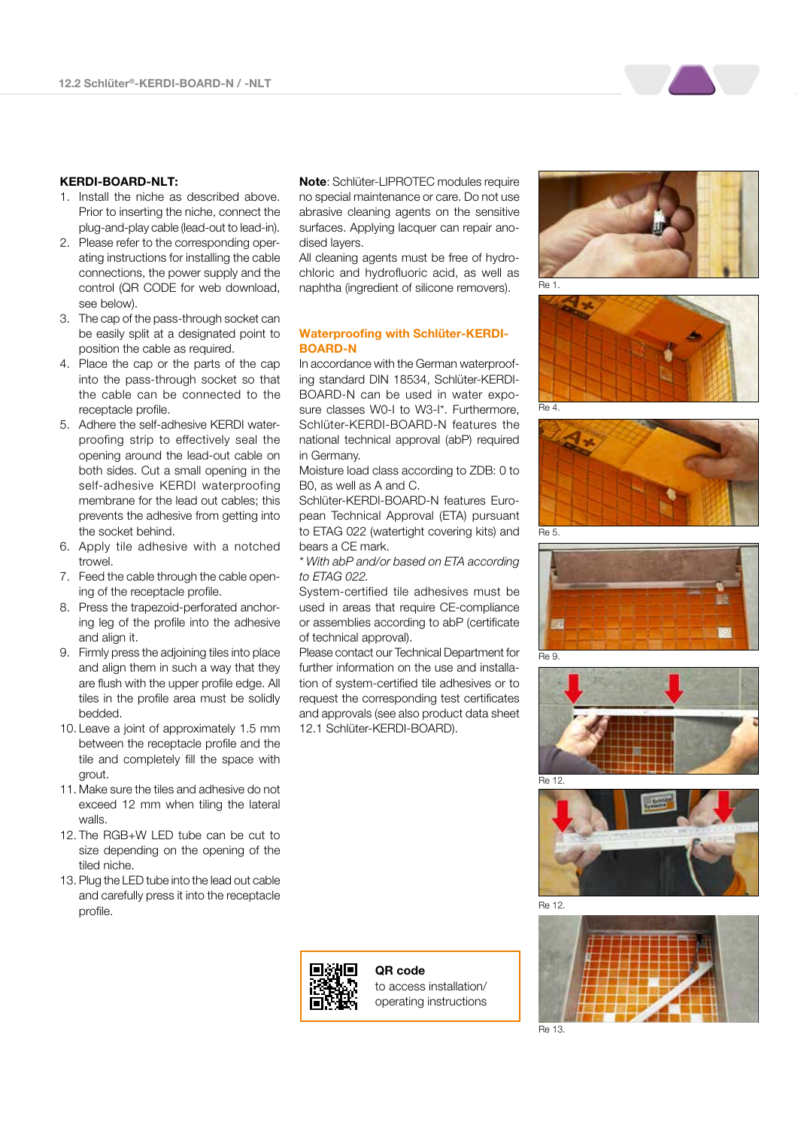#### KERDI-BOARD-NLT:

- 1. Install the niche as described above. Prior to inserting the niche, connect the plug-and-play cable (lead-out to lead-in).
- 2. Please refer to the corresponding operating instructions for installing the cable connections, the power supply and the control (QR CODE for web download, see below).
- 3. The cap of the pass-through socket can be easily split at a designated point to position the cable as required.
- 4. Place the cap or the parts of the cap into the pass-through socket so that the cable can be connected to the receptacle profile.
- 5. Adhere the self-adhesive KERDI waterproofing strip to effectively seal the opening around the lead-out cable on both sides. Cut a small opening in the self-adhesive KERDI waterproofing membrane for the lead out cables; this prevents the adhesive from getting into the socket behind.
- 6. Apply tile adhesive with a notched trowel.
- 7. Feed the cable through the cable opening of the receptacle profile.
- 8. Press the trapezoid-perforated anchoring leg of the profile into the adhesive and align it.
- 9. Firmly press the adjoining tiles into place and align them in such a way that they are flush with the upper profile edge. All tiles in the profile area must be solidly bedded.
- 10. Leave a joint of approximately 1.5 mm between the receptacle profile and the tile and completely fill the space with grout.
- 11. Make sure the tiles and adhesive do not exceed 12 mm when tiling the lateral walls.
- 12. The RGB+W LED tube can be cut to size depending on the opening of the tiled niche.
- 13. Plug the LED tube into the lead out cable and carefully press it into the receptacle profile.

Note: Schlüter-LIPROTEC modules require no special maintenance or care. Do not use abrasive cleaning agents on the sensitive surfaces. Applying lacquer can repair anodised layers.

All cleaning agents must be free of hydrochloric and hydrofluoric acid, as well as naphtha (ingredient of silicone removers).

#### Waterproofing with Schlüter-KERDI-BOARD-N

In accordance with the German waterproofing standard DIN 18534, Schlüter-KERDI-BOARD-N can be used in water exposure classes W0-I to W3-I\*. Furthermore, Schlüter-KERDI-BOARD-N features the national technical approval (abP) required in Germany.

Moisture load class according to ZDB: 0 to B0, as well as A and C.

Schlüter-KERDI-BOARD-N features European Technical Approval (ETA) pursuant to ETAG 022 (watertight covering kits) and bears a CE mark.

*\* With abP and/or based on ETA according to ETAG 022.* 

System-certified tile adhesives must be used in areas that require CE-compliance or assemblies according to abP (certificate of technical approval).

Please contact our Technical Department for further information on the use and installation of system-certified tile adhesives or to request the corresponding test certificates and approvals (see also product data sheet 12.1 Schlüter-KERDI-BOARD).



QR code to access installation/ operating instructions

















Re 13.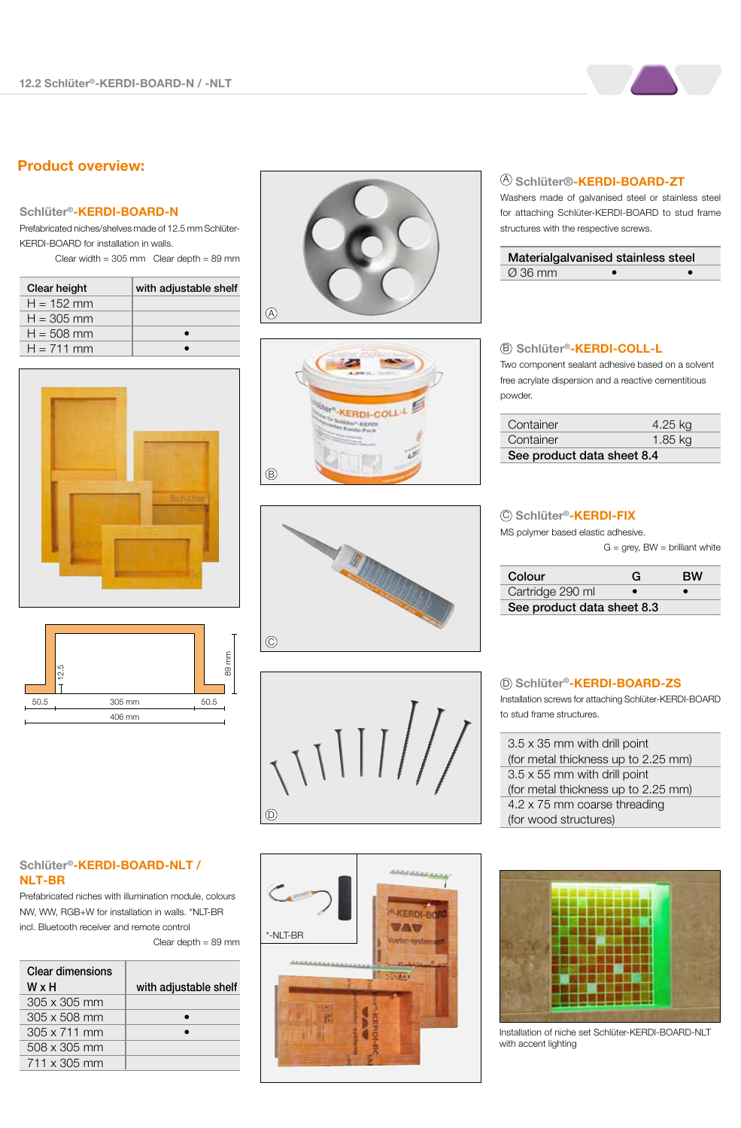### Product overview:

#### Schlüter®-KERDI-BOARD-N

Prefabricated niches/shelves made of 12.5 mm Schlüter-KERDI-BOARD for installation in walls. Clear width =  $305$  mm Clear depth =  $89$  mm

| Clear height | with adjustable shelf |
|--------------|-----------------------|
| $H = 152$ mm |                       |
| $H = 305$ mm |                       |
| $H = 508$ mm |                       |
| $H = 711$ mm |                       |





#### Schlüter®-KERDI-BOARD-NLT / NLT-BR

Prefabricated niches with illumination module, colours NW, WW, RGB+W for installation in walls. \*NLT-BR incl. Bluetooth receiver and remote control

Clear depth = 89 mm

| Clear dimensions<br>WxH | with adjustable shelf |
|-------------------------|-----------------------|
|                         |                       |
| $305 \times 305$ mm     |                       |
| $305 \times 508$ mm     |                       |
| $305 \times 711$ mm     |                       |
| $508 \times 305$ mm     |                       |
| $711 \times 305$ mm     |                       |











#### <sup>④</sup> Schlüter®-**KERDI-BOARD-ZT**

Washers made of galvanised steel or stainless steel for attaching Schlüter-KERDI-BOARD to stud frame structures with the respective screws.

| Materialgalvanised stainless steel |  |
|------------------------------------|--|
| $\varnothing$ 36 mm                |  |

#### Schlüter®-KERDI-COLL-L B

Two component sealant adhesive based on a solvent free acrylate dispersion and a reactive cementitious powder.

| Container                  | 4.25 kg |
|----------------------------|---------|
| Container                  | 1.85 kg |
| See product data sheet 8.4 |         |

#### © Schlüter®-**KERDI-FIX**

MS polymer based elastic adhesive.  $G = \text{prev}$ , BW = brilliant white

|  |  | $\alpha$ – $\beta$ , $\beta$ , $\beta$ , $\beta$ , $\beta$ , $\beta$ , $\beta$ , $\beta$ , $\beta$ , $\beta$ , $\beta$ , $\beta$ , $\beta$ , $\alpha$ , $\beta$ , $\alpha$ , $\beta$ , $\alpha$ , $\beta$ , $\alpha$ , $\beta$ , $\alpha$ , $\beta$ , $\alpha$ , $\beta$ , $\alpha$ , $\beta$ , $\alpha$ , $\beta$ , $\alpha$ , $\beta$ , $\alpha$ , $\alpha$ , $\alpha$ , $\alpha$ , $\alpha$ |  |
|--|--|------------------------------------------------------------------------------------------------------------------------------------------------------------------------------------------------------------------------------------------------------------------------------------------------------------------------------------------------------------------------------------------------|--|
|  |  |                                                                                                                                                                                                                                                                                                                                                                                                |  |
|  |  |                                                                                                                                                                                                                                                                                                                                                                                                |  |

| Colour                     | G | вw |
|----------------------------|---|----|
| Cartridge 290 ml           |   |    |
| See product data sheet 8.3 |   |    |

#### D Schlüter®-KERDI-BOARD-ZS

Installation screws for attaching Schlüter-KERDI-BOARD to stud frame structures.

| 3.5 x 35 mm with drill point        |
|-------------------------------------|
| (for metal thickness up to 2.25 mm) |
| $3.5 \times 55$ mm with drill point |
| (for metal thickness up to 2.25 mm) |
| 4.2 x 75 mm coarse threading        |
|                                     |

Installation of niche set Schlüter-KERDI-BOARD-NLT with accent lighting

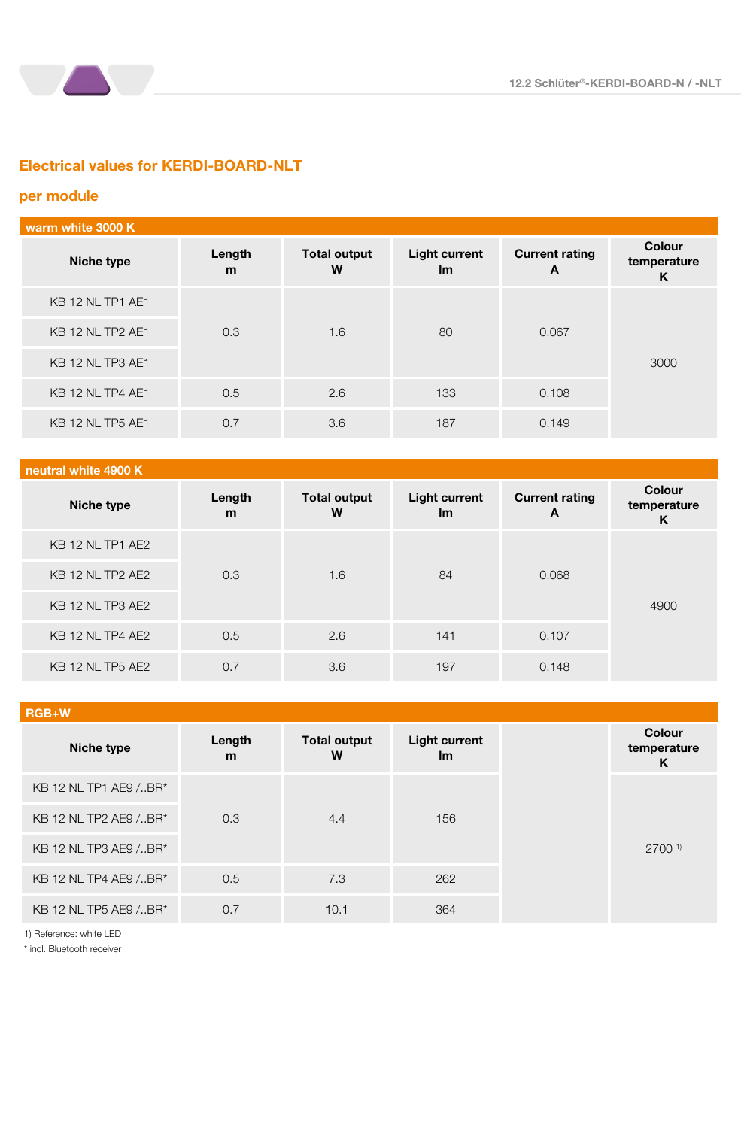

#### per module

a a

| warm white 3000 K |             |                          |                                   |                            |                                   |
|-------------------|-------------|--------------------------|-----------------------------------|----------------------------|-----------------------------------|
| Niche type        | Length<br>m | <b>Total output</b><br>W | <b>Light current</b><br><u>Im</u> | <b>Current rating</b><br>A | <b>Colour</b><br>temperature<br>K |
| KB 12 NL TP1 AE1  |             |                          |                                   |                            |                                   |
| KB 12 NL TP2 AE1  | 0.3         | 1.6                      | 80                                | 0.067                      |                                   |
| KB 12 NL TP3 AE1  |             |                          |                                   |                            | 3000                              |
| KB 12 NL TP4 AE1  | 0.5         | 2.6                      | 133                               | 0.108                      |                                   |
| KB 12 NL TP5 AE1  | 0.7         | 3.6                      | 187                               | 0.149                      |                                   |

#### neutral white 4900 K

| Niche type              | Length<br>m | <b>Total output</b><br>W | <b>Light current</b><br><u>Im</u> | <b>Current rating</b><br>A | <b>Colour</b><br>temperature<br>K |
|-------------------------|-------------|--------------------------|-----------------------------------|----------------------------|-----------------------------------|
| KB 12 NL TP1 AE2        |             |                          |                                   |                            |                                   |
| <b>KB 12 NL TP2 AE2</b> | 0.3         | 1.6                      | 84                                | 0.068                      |                                   |
| KB 12 NL TP3 AE2        |             |                          |                                   |                            | 4900                              |
| KB 12 NL TP4 AE2        | 0.5         | 2.6                      | 141                               | 0.107                      |                                   |
| <b>KB 12 NL TP5 AE2</b> | 0.7         | 3.6                      | 197                               | 0.148                      |                                   |

#### RGB+W

| Niche type            | Length<br>m | <b>Total output</b><br>W | <b>Light current</b><br><u>Im</u> |
|-----------------------|-------------|--------------------------|-----------------------------------|
| KB 12 NL TP1 AE9 /BR* |             |                          |                                   |
| KB 12 NL TP2 AE9 /BR* | 0.3         | 4.4                      | 156                               |
| KB 12 NL TP3 AE9 /BR* |             |                          |                                   |
| KB 12 NL TP4 AE9 /BR* | 0.5         | 7.3                      | 262                               |
| KB 12 NL TP5 AE9 /BR* | 0.7         | 10.1                     | 364                               |

1) Reference: white LED

\* incl. Bluetooth receiver